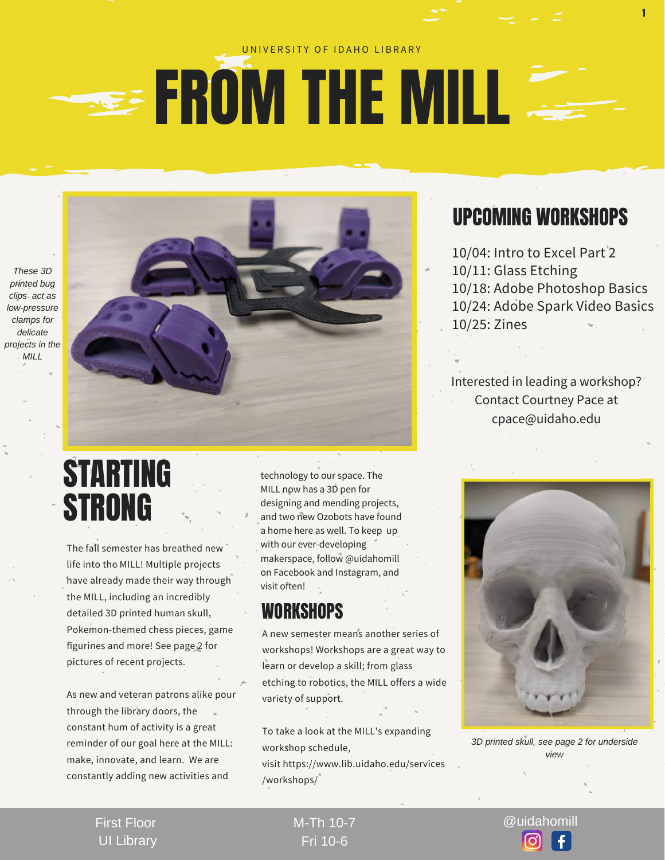#### U N I VERSITY OF IDAHO LIBRARY

## **EROM THE MILL**

*These 3D printed bug clips act as low-pressure clamps for delicate projects in the MILL*



The fall semester has breathed new life into the MILL! Multiple projects have already made their way through the MILL, including an incredibly detailed 3D printed human skull, Pokemon-themed chess pieces, game figurines and more! See page 2 for pictures of recent projects.

As new and veteran patrons alike pour through the library doors, the constant hum of activity is a great reminder of our goal here at the MILL: make, innovate, and learn. We are constantly adding new activities and

technology to our space. The MILL now has a 3D pen for designing and mending projects, and two new Ozobots have found a home here as well. To keep up with our ever-developing makerspace, follow @uidahomill on Facebook and Instagram, and visit often!

#### **WORKSHOPS**

A new semester means another series of workshops! Workshops are a great way to learn or develop a skill; from glass etching to robotics, the MILL offers a wide variety of support.

To take a look at the MILL's expanding workshop schedule,

visit https://www.lib.uidaho.edu/services /workshops/

### UPCOMING WORKSHOPS

1

10/04: Intro to Excel Part 2 10/11: Glass Etching 10/18: Adobe Photoshop Basics 10/24: Adobe Spark Video Basics 10/25: Zines

Interested in leading a workshop? Contact Courtney Pace at cpace@uidaho.edu



*3D printed skull, see page 2 for underside view*

First Floor UI Library M-Th 10-7 @uidahomill Fri 10-6